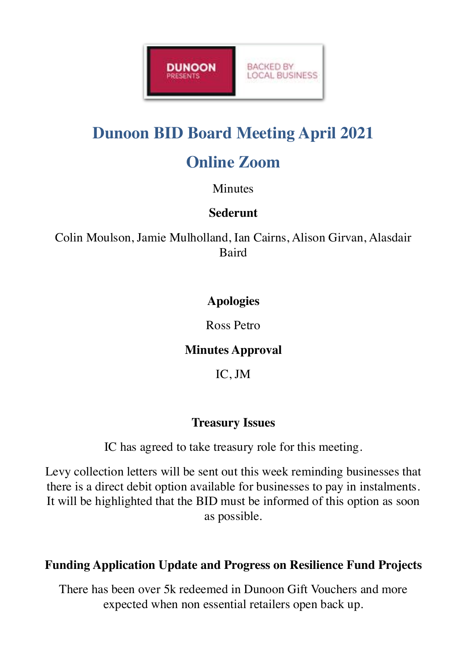

# **Dunoon BID Board Meeting April 2021**

# **Online Zoom**

#### **Minutes**

#### **Sederunt**

Colin Moulson, Jamie Mulholland, Ian Cairns, Alison Girvan, Alasdair **Baird** 

## **Apologies**

Ross Petro

## **Minutes Approval**

IC, JM

# **Treasury Issues**

IC has agreed to take treasury role for this meeting.

Levy collection letters will be sent out this week reminding businesses that there is a direct debit option available for businesses to pay in instalments. It will be highlighted that the BID must be informed of this option as soon as possible.

## **Funding Application Update and Progress on Resilience Fund Projects**

There has been over 5k redeemed in Dunoon Gift Vouchers and more expected when non essential retailers open back up.